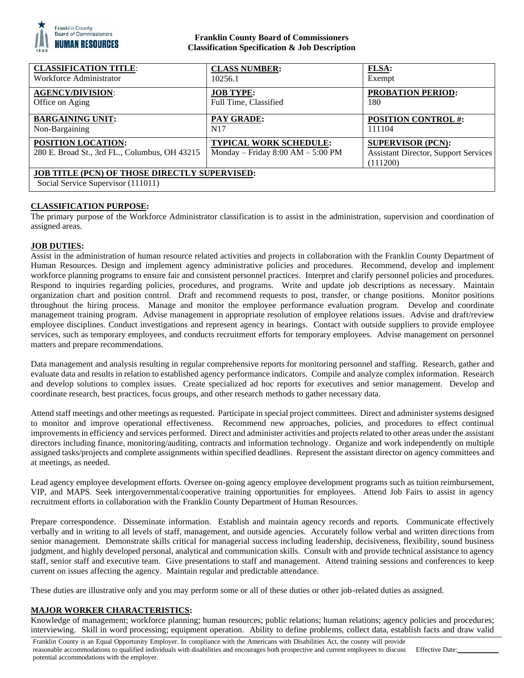

# **Franklin County Board of Commissioners Classification Specification & Job Description**

| <b>CLASSIFICATION TITLE:</b>                                                               | <b>CLASS NUMBER:</b>                                            | <b>FLSA:</b>                                                                        |
|--------------------------------------------------------------------------------------------|-----------------------------------------------------------------|-------------------------------------------------------------------------------------|
| Workforce Administrator                                                                    | 10256.1                                                         | Exempt                                                                              |
| <b>AGENCY/DIVISION:</b>                                                                    | <b>JOB TYPE:</b>                                                | <b>PROBATION PERIOD:</b>                                                            |
| Office on Aging                                                                            | Full Time, Classified                                           | 180                                                                                 |
| <b>BARGAINING UNIT:</b>                                                                    | <b>PAY GRADE:</b>                                               | <b>POSITION CONTROL #:</b>                                                          |
| Non-Bargaining                                                                             | N17                                                             | 111104                                                                              |
| <b>POSITION LOCATION:</b><br>280 E. Broad St., 3rd FL., Columbus, OH 43215                 | TYPICAL WORK SCHEDULE:<br>Monday – Friday $8:00$ AM – $5:00$ PM | <b>SUPERVISOR (PCN):</b><br><b>Assistant Director, Support Services</b><br>(111200) |
| <b>JOB TITLE (PCN) OF THOSE DIRECTLY SUPERVISED:</b><br>Social Service Supervisor (111011) |                                                                 |                                                                                     |

### **CLASSIFICATION PURPOSE:**

The primary purpose of the Workforce Administrator classification is to assist in the administration, supervision and coordination of assigned areas.

### **JOB DUTIES:**

Assist in the administration of human resource related activities and projects in collaboration with the Franklin County Department of Human Resources. Design and implement agency administrative policies and procedures. Recommend, develop and implement workforce planning programs to ensure fair and consistent personnel practices. Interpret and clarify personnel policies and procedures. Respond to inquiries regarding policies, procedures, and programs. Write and update job descriptions as necessary. Maintain organization chart and position control. Draft and recommend requests to post, transfer, or change positions. Monitor positions throughout the hiring process. Manage and monitor the employee performance evaluation program. Develop and coordinate management training program. Advise management in appropriate resolution of employee relations issues. Advise and draft/review employee disciplines. Conduct investigations and represent agency in hearings. Contact with outside suppliers to provide employee services, such as temporary employees, and conducts recruitment efforts for temporary employees. Advise management on personnel matters and prepare recommendations.

Data management and analysis resulting in regular comprehensive reports for monitoring personnel and staffing. Research, gather and evaluate data and results in relation to established agency performance indicators. Compile and analyze complex information. Research and develop solutions to complex issues. Create specialized ad hoc reports for executives and senior management. Develop and coordinate research, best practices, focus groups, and other research methods to gather necessary data.

Attend staff meetings and other meetings as requested. Participate in special project committees. Direct and administer systems designed to monitor and improve operational effectiveness. Recommend new approaches, policies, and procedures to effect continual improvements in efficiency and services performed. Direct and administer activities and projects related to other areas under the assistant directors including finance, monitoring/auditing, contracts and information technology. Organize and work independently on multiple assigned tasks/projects and complete assignments within specified deadlines. Represent the assistant director on agency committees and at meetings, as needed.

Lead agency employee development efforts. Oversee on-going agency employee development programs such as tuition reimbursement, VIP, and MAPS. Seek intergovernmental/cooperative training opportunities for employees. Attend Job Fairs to assist in agency recruitment efforts in collaboration with the Franklin County Department of Human Resources.

Prepare correspondence. Disseminate information. Establish and maintain agency records and reports. Communicate effectively verbally and in writing to all levels of staff, management, and outside agencies. Accurately follow verbal and written directions from senior management. Demonstrate skills critical for managerial success including leadership, decisiveness, flexibility, sound business judgment, and highly developed personal, analytical and communication skills. Consult with and provide technical assistance to agency staff, senior staff and executive team. Give presentations to staff and management. Attend training sessions and conferences to keep current on issues affecting the agency. Maintain regular and predictable attendance.

These duties are illustrative only and you may perform some or all of these duties or other job-related duties as assigned.

# **MAJOR WORKER CHARACTERISTICS:**

Knowledge of management; workforce planning; human resources; public relations; human relations; agency policies and procedures; interviewing. Skill in word processing; equipment operation. Ability to define problems, collect data, establish facts and draw valid